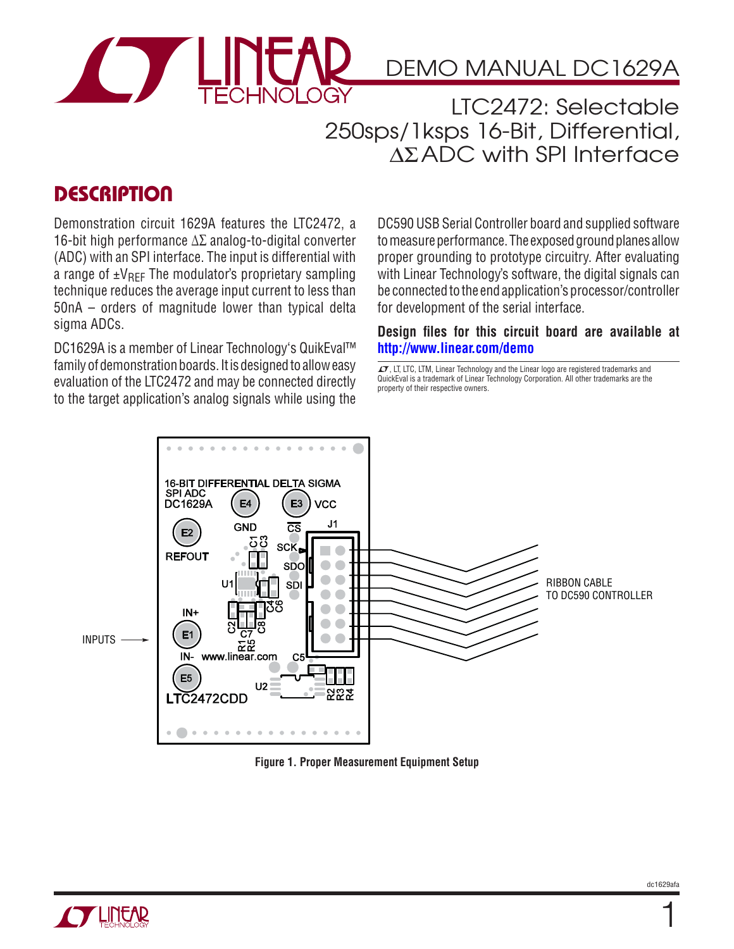

# DEMO MANUAL DC1629A

LTC2472: Selectable 250sps/1ksps 16-Bit, Differential, ∆ΣADC with SPI Interface

## **DESCRIPTION**

Demonstration circuit 1629A features the LTC2472, a 16-bit high performance Δ∑ analog-to-digital converter (ADC) with an SPI interface. The input is differential with a range of  $\pm V_{\text{RFF}}$  The modulator's proprietary sampling technique reduces the average input current to less than 50nA – orders of magnitude lower than typical delta sigma ADCs.

DC1629A is a member of Linear Technology's QuikEval™ family of demonstration boards. It is designed to allow easy evaluation of the LTC2472 and may be connected directly to the target application's analog signals while using the

DC590 USB Serial Controller board and supplied software to measure performance. The exposed ground planes allow proper grounding to prototype circuitry. After evaluating with Linear Technology's software, the digital signals can be connected to the end application's processor/controller for development of the serial interface.

#### **Design files for this circuit board are available at http://www.linear.com/demo**

 $\overline{\mathcal{L}7}$ , LT, LTC, LTM, Linear Technology and the Linear logo are registered trademarks and QuickEval is a trademark of Linear Technology Corporation. All other trademarks are the property of their respective owners.



**Figure 1. Proper Measurement Equipment Setup**



1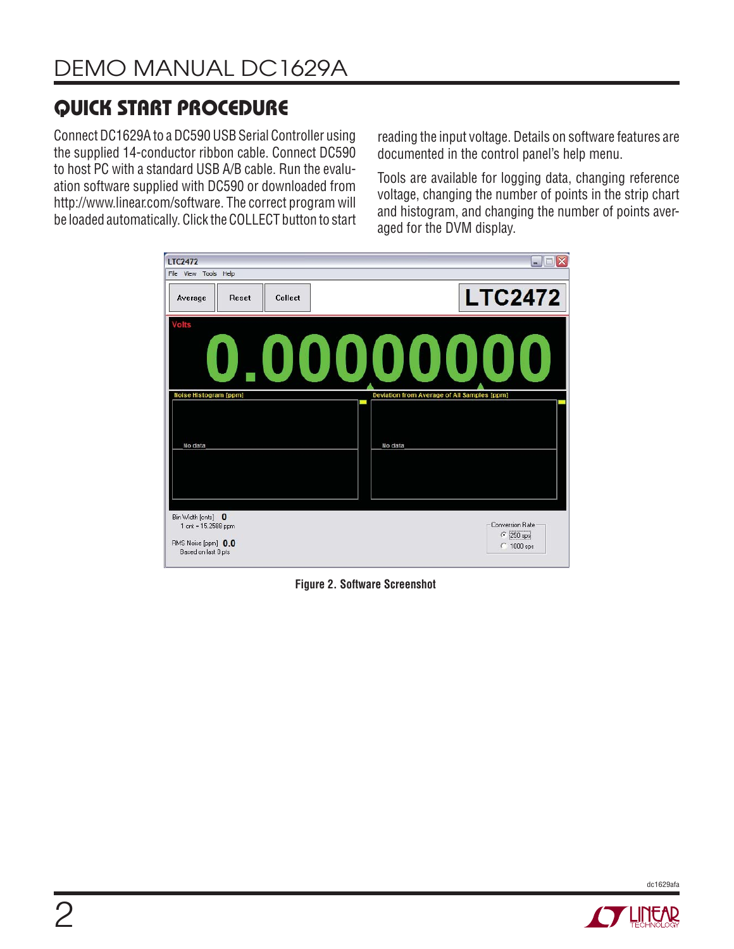# **QUICK START PROCEDURE**

Connect DC1629A to a DC590 USB Serial Controller using the supplied 14-conductor ribbon cable. Connect DC590 to host PC with a standard USB A/B cable. Run the evaluation software supplied with DC590 or downloaded from http://www.linear.com/software. The correct program will be loaded automatically. Click the COLLECT button to start

reading the input voltage. Details on software features are documented in the control panel's help menu.

Tools are available for logging data, changing reference voltage, changing the number of points in the strip chart and histogram, and changing the number of points averaged for the DVM display.

| <b>LTC2472</b>                                                                          | w.                                                             |
|-----------------------------------------------------------------------------------------|----------------------------------------------------------------|
| File View Tools Help<br>Collect<br>Average<br>Reset                                     | <b>LTC2472</b>                                                 |
| <b>Volts</b>                                                                            | 0,00000000                                                     |
| Noise Histogram [ppm]<br>No data                                                        | Deviation from Average of All Samples [ppm]<br>No data         |
| Bin Width [cnts] 0<br>1 cnt = 15.2588 ppm<br>RMS Noise [ppm] 0.0<br>Based on last 0 pts | <b>Conversion Rate</b><br>$\bullet$ 250 sps<br>$\cap$ 1000 sps |

**Figure 2. Software Screenshot**



dc1629afa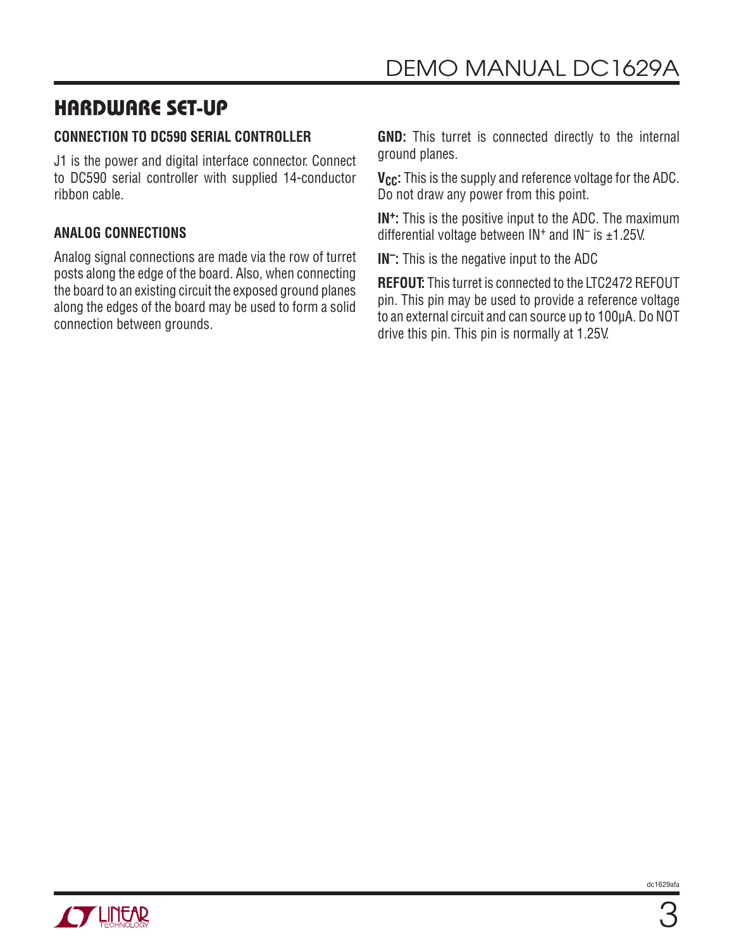## **HARDWARE SET-UP**

### **CONNECTION TO DC590 SERIAL CONTROLLER**

J1 is the power and digital interface connector. Connect to DC590 serial controller with supplied 14-conductor ribbon cable.

### **ANALOG CONNECTIONS**

Analog signal connections are made via the row of turret posts along the edge of the board. Also, when connecting the board to an existing circuit the exposed ground planes along the edges of the board may be used to form a solid connection between grounds.

**GND:** This turret is connected directly to the internal ground planes.

**V<sub>CC</sub>:** This is the supply and reference voltage for the ADC. Do not draw any power from this point.

**IN+:** This is the positive input to the ADC. The maximum differential voltage between  $IN<sup>+</sup>$  and  $IN<sup>-</sup>$  is ±1.25V.

**IN–:** This is the negative input to the ADC

**REFOUT:** This turret is connected to the LTC2472 REFOUT pin. This pin may be used to provide a reference voltage to an external circuit and can source up to 100μA. Do NOT drive this pin. This pin is normally at 1.25V.

dc1629afa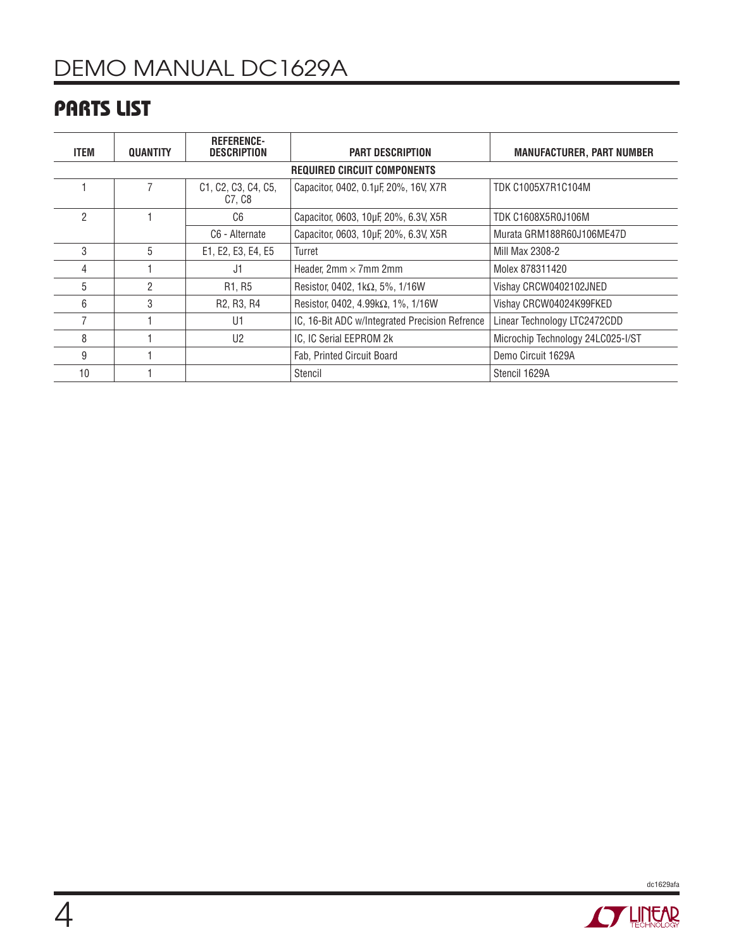# DEMO MANUAL DC1629A

# **PARTS LIST**

| ITEM                               | QUANTITY | <b>REFERENCE-</b><br><b>DESCRIPTION</b>          | <b>PART DESCRIPTION</b>                        | <b>MANUFACTURER, PART NUMBER</b>  |
|------------------------------------|----------|--------------------------------------------------|------------------------------------------------|-----------------------------------|
| <b>REQUIRED CIRCUIT COMPONENTS</b> |          |                                                  |                                                |                                   |
|                                    |          | C1, C2, C3, C4, C5,<br>C7, C8                    | Capacitor, 0402, 0.1µF, 20%, 16V, X7R          | TDK C1005X7R1C104M                |
| 2                                  |          | C6                                               | Capacitor, 0603, 10µF, 20%, 6.3V, X5R          | TDK C1608X5R0J106M                |
|                                    |          | C6 - Alternate                                   | Capacitor, 0603, 10µF, 20%, 6.3V, X5R          | Murata GRM188R60J106ME47D         |
| 3                                  | 5        | E1, E2, E3, E4, E5                               | Turret                                         | Mill Max 2308-2                   |
| 4                                  |          | J1                                               | Header, $2mm \times 7mm$ 2mm                   | Molex 878311420                   |
| 5                                  | 2        | R <sub>1</sub> , R <sub>5</sub>                  | Resistor, 0402, 1k $\Omega$ , 5%, 1/16W        | Vishay CRCW0402102JNED            |
| 6                                  | 3        | R <sub>2</sub> , R <sub>3</sub> , R <sub>4</sub> | Resistor, 0402, 4.99 $k\Omega$ , 1%, 1/16W     | Vishay CRCW04024K99FKED           |
|                                    |          | U1                                               | IC, 16-Bit ADC w/Integrated Precision Refrence | Linear Technology LTC2472CDD      |
| 8                                  |          | U <sub>2</sub>                                   | IC, IC Serial EEPROM 2k                        | Microchip Technology 24LC025-I/ST |
| 9                                  |          |                                                  | Fab, Printed Circuit Board                     | Demo Circuit 1629A                |
| 10                                 |          |                                                  | Stencil                                        | Stencil 1629A                     |



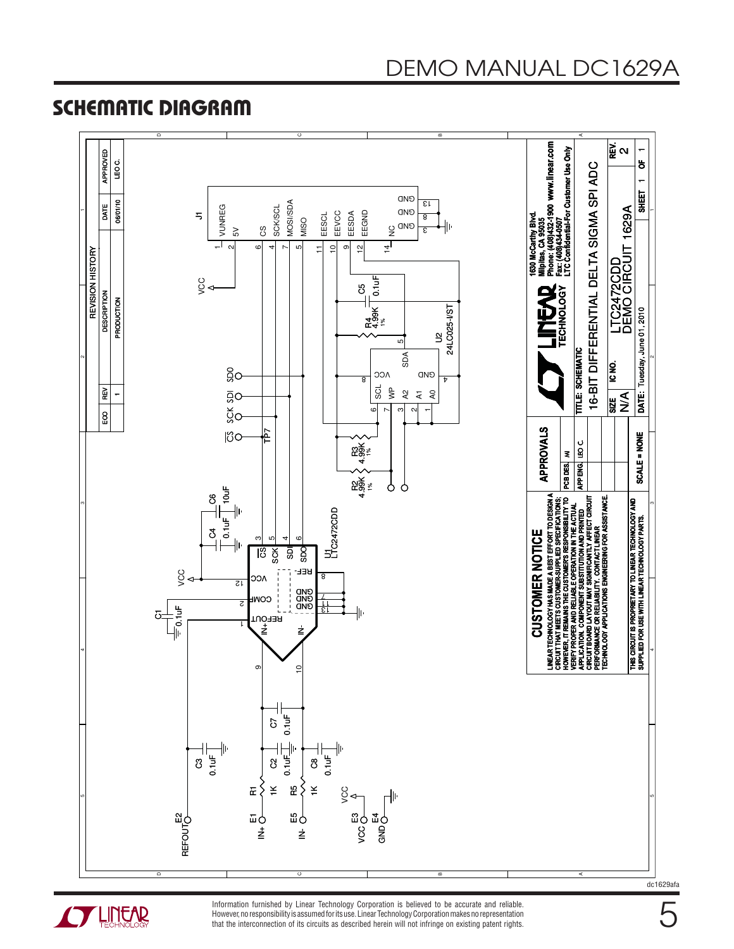# **SCHEMATIC DIAGRAM**





Information furnished by Linear Technology Corporation is believed to be accurate and reliable. However, no responsibility is assumed for its use. Linear Technology Corporation makes no representation that the interconnection of its circuits as described herein will not infringe on existing patent rights.

5